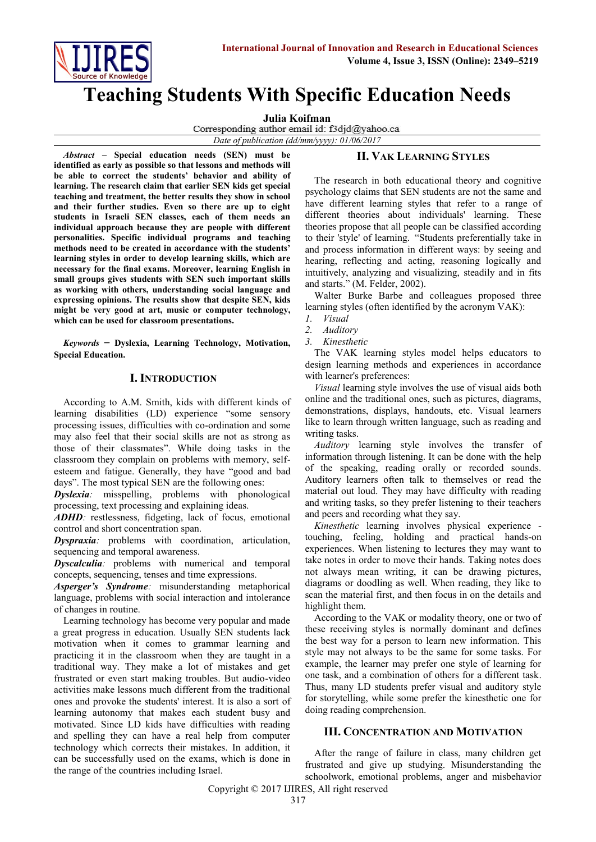

# **Teaching Students With Specific Education Needs**

**Julia Koifman**<br>Corresponding author email id: f3djd@yahoo.ca

*Date of publication (dd/mm/yyyy): 01/06/2017*

*Abstract* **– Special education needs (SEN) must be identified as early as possible so that lessons and methods will be able to correct the students' behavior and ability of learning. The research claim that earlier SEN kids get special teaching and treatment, the better results they show in school and their further studies. Even so there are up to eight students in Israeli SEN classes, each of them needs an individual approach because they are people with different personalities. Specific individual programs and teaching methods need to be created in accordance with the students' learning styles in order to develop learning skills, which are necessary for the final exams. Moreover, learning English in small groups gives students with SEN such important skills as working with others, understanding social language and expressing opinions. The results show that despite SEN, kids might be very good at art, music or computer technology, which can be used for classroom presentations.** 

*Keywords* – **Dyslexia, Learning Technology, Motivation, Special Education.**

## **I. INTRODUCTION**

According to A.M. Smith, kids with different kinds of learning disabilities (LD) experience "some sensory processing issues, difficulties with co-ordination and some may also feel that their social skills are not as strong as those of their classmates". While doing tasks in the classroom they complain on problems with memory, selfesteem and fatigue. Generally, they have "good and bad days". The most typical SEN are the following ones:

*Dyslexia:* misspelling, problems with phonological processing, text processing and explaining ideas.

*ADHD:* restlessness, fidgeting, lack of focus, emotional control and short concentration span.

*Dyspraxia:* problems with coordination, articulation, sequencing and temporal awareness.

*Dyscalculia:* problems with numerical and temporal concepts, sequencing, tenses and time expressions.

*Asperger's Syndrome:* misunderstanding metaphorical language, problems with social interaction and intolerance of changes in routine.

Learning technology has become very popular and made a great progress in education. Usually SEN students lack motivation when it comes to grammar learning and practicing it in the classroom when they are taught in a traditional way. They make a lot of mistakes and get frustrated or even start making troubles. But audio-video activities make lessons much different from the traditional ones and provoke the students' interest. It is also a sort of learning autonomy that makes each student busy and motivated. Since LD kids have difficulties with reading and spelling they can have a real help from computer technology which corrects their mistakes. In addition, it can be successfully used on the exams, which is done in the range of the countries including Israel.

## **II. VAK LEARNING STYLES**

The research in both educational theory and cognitive psychology claims that SEN students are not the same and have different learning styles that refer to a range of different [theories](https://en.wikipedia.org/wiki/Theories) about individuals' [learning.](https://en.wikipedia.org/wiki/Learning) These theories propose that all people can be classified according to their ['style'](https://en.wiktionary.org/wiki/style) of learning. "Students preferentially take in and process information in different ways: by seeing and hearing, reflecting and acting, reasoning logically and intuitively, analyzing and visualizing, steadily and in fits and starts." (M. Felder, 2002).

Walter Burke Barbe and colleagues proposed three learning styles (often identified by the [acronym](https://en.wikipedia.org/wiki/Acronym) VAK):

- *1. Visual*
- *2. Auditory*
- *3. Kinesthetic*

The VAK learning styles model helps educators to design learning methods and experiences in accordance with learner's preferences:

*Visual* learning style involves the use of visual aids both online and the traditional ones, such as pictures, diagrams, demonstrations, displays, handouts, etc. Visual learners like to learn through written language, such as reading and writing tasks.

*Auditory* learning style involves the transfer of information through listening. It can be done with the help of the speaking, reading orally or recorded sounds. Auditory learners often talk to themselves or read the material out loud. They may have difficulty with reading and writing tasks, so they prefer listening to their teachers and peers and recording what they say.

*Kinesthetic* learning involves physical experience touching, feeling, holding and practical hands-on experiences. When listening to lectures they may want to take notes in order to move their hands. Taking notes does not always mean writing, it can be drawing pictures, diagrams or doodling as well. When reading, they like to scan the material first, and then focus in on the details and highlight them.

According to the VAK or modality theory, one or two of these receiving styles is normally dominant and defines the best way for a person to learn new information. This style may not always to be the same for some tasks. For example, the learner may prefer one style of learning for one task, and a combination of others for a different task. Thus, many LD students prefer visual and auditory style for storytelling, while some prefer the kinesthetic one for doing reading comprehension.

## **III. CONCENTRATION AND MOTIVATION**

After the range of failure in class, many children get frustrated and give up studying. Misunderstanding the schoolwork, emotional problems, anger and misbehavior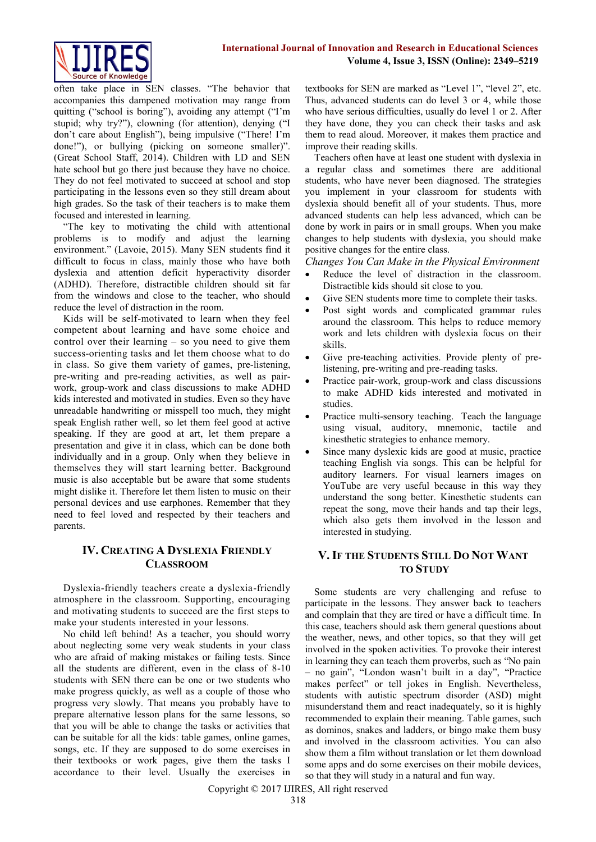

often take place in SEN classes. "The behavior that accompanies this dampened motivation may range from quitting ("school is boring"), avoiding any attempt ("I'm stupid; why try?"), clowning (for attention), denying ("I don't care about English"), being impulsive ("There! I'm done!"), or bullying (picking on someone smaller)". (Great School Staff, 2014). Children with LD and SEN hate school but go there just because they have no choice. They do not feel motivated to succeed at school and stop participating in the lessons even so they still dream about high grades. So the task of their teachers is to make them focused and interested in learning.

"The key to motivating the child with attentional problems is to modify and adjust the learning environment." (Lavoie, 2015). Many SEN students find it difficult to focus in class, mainly those who have both dyslexia and attention deficit hyperactivity disorder (ADHD). Therefore, distractible children should sit far from the windows and close to the teacher, who should reduce the level of distraction in the room.

Kids will be self-motivated to learn when they feel competent about learning and have some choice and control over their learning – so you need to give them success-orienting tasks and let them choose what to do in class. So give them variety of games, pre-listening, pre-writing and pre-reading activities, as well as pairwork, group-work and class discussions to make ADHD kids interested and motivated in studies. Even so they have unreadable handwriting or misspell too much, they might speak English rather well, so let them feel good at active speaking. If they are good at art, let them prepare a presentation and give it in class, which can be done both individually and in a group. Only when they believe in themselves they will start learning better. Background music is also acceptable but be aware that some students might dislike it. Therefore let them listen to music on their personal devices and use earphones. Remember that they need to feel loved and respected by their teachers and parents.

## **IV. CREATING A DYSLEXIA FRIENDLY CLASSROOM**

Dyslexia-friendly teachers create a dyslexia-friendly atmosphere in the classroom. Supporting, encouraging and motivating students to succeed are the first steps to make your students interested in your lessons.

No child left behind! As a teacher, you should worry about neglecting some very weak students in your class who are afraid of making mistakes or failing tests. Since all the students are different, even in the class of 8-10 students with SEN there can be one or two students who make progress quickly, as well as a couple of those who progress very slowly. That means you probably have to prepare alternative lesson plans for the same lessons, so that you will be able to change the tasks or activities that can be suitable for all the kids: table games, online games, songs, etc. If they are supposed to do some exercises in their textbooks or work pages, give them the tasks I accordance to their level. Usually the exercises in textbooks for SEN are marked as "Level 1", "level 2", etc. Thus, advanced students can do level 3 or 4, while those who have serious difficulties, usually do level 1 or 2. After they have done, they you can check their tasks and ask them to read aloud. Moreover, it makes them practice and improve their reading skills.

Teachers often have at least one student with dyslexia in a regular class and sometimes there are additional students, who have never been diagnosed. The strategies you implement in your [classroom for students with](https://www.thoughtco.com/common-accommodations-students-with-dyslexia-3111001)  [dyslexia](https://www.thoughtco.com/common-accommodations-students-with-dyslexia-3111001) should benefit all of your students. Thus, more advanced students can help less advanced, which can be done by work in pairs or in small groups. When you make changes to help students with dyslexia, you should make positive changes for the entire class.

*Changes You Can Make in the Physical Environment* 

- Reduce the level of distraction in the classroom. Distractible kids should sit close to you.
- Give SEN students more time to complete their tasks.
- Post sight words and complicated grammar rules around the classroom. This helps to reduce memory work and lets children with dyslexia focus on their skills.
- Give pre-teaching activities. Provide plenty of prelistening, pre-writing and pre-reading tasks.
- Practice pair-work, group-work and class discussions to make ADHD kids interested and motivated in studies.
- Practice multi-sensory teaching. Teach the language using visual, auditory, mnemonic, tactile and kinesthetic strategies to enhance memory.
- Since many dyslexic kids are good at music, practice teaching English via songs. This can be helpful for auditory learners. For visual learners images on YouTube are very useful because in this way they understand the song better. Kinesthetic students can repeat the song, move their hands and tap their legs, which also gets them involved in the lesson and interested in studying.

## **V. IF THE STUDENTS STILL DO NOT WANT TO STUDY**

Some students are very challenging and refuse to participate in the lessons. They answer back to teachers and complain that they are tired or have a difficult time. In this case, teachers should ask them general questions about the weather, news, and other topics, so that they will get involved in the spoken activities. To provoke their interest in learning they can teach them proverbs, such as "No pain – no gain", "London wasn't built in a day", "Practice makes perfect" or tell jokes in English. Nevertheless, students with autistic spectrum disorder (ASD) might misunderstand them and react inadequately, so it is highly recommended to explain their meaning. Table games, such as dominos, snakes and ladders, or bingo make them busy and involved in the classroom activities. You can also show them a film without translation or let them download some apps and do some exercises on their mobile devices, so that they will study in a natural and fun way.

Copyright © 2017 IJIRES, All right reserved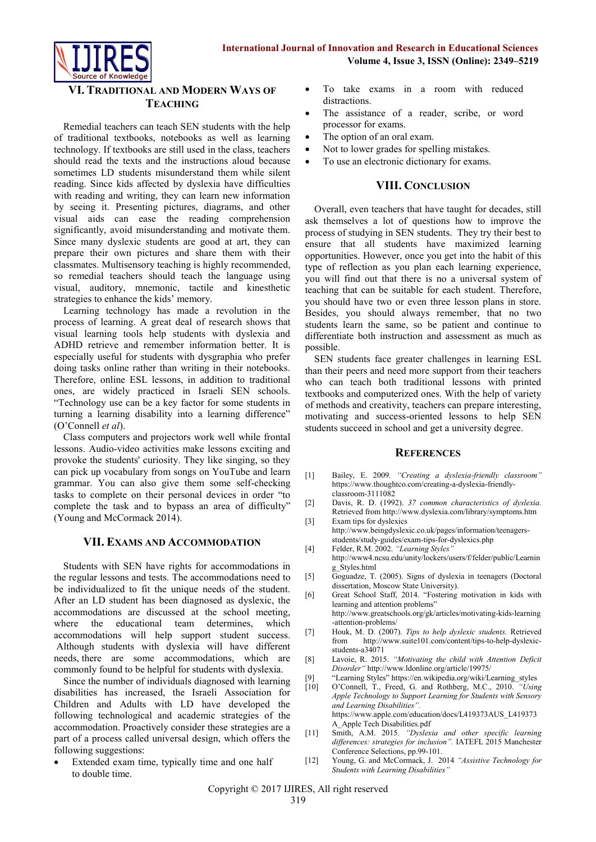

# **VI. TRADITIONAL AND MODERN WAYS OF TEACHING**

Remedial teachers can teach SEN students with the help of traditional textbooks, notebooks as well as learning technology. If textbooks are still used in the class, teachers should read the texts and the instructions aloud because sometimes LD students misunderstand them while silent reading. Since kids affected by dyslexia have difficulties with reading and writing, they can learn new information by seeing it. Presenting pictures, diagrams, and other visual aids can ease the reading comprehension significantly, avoid misunderstanding and motivate them. Since many dyslexic students are good at art, they can prepare their own pictures and share them with their classmates. Multisensory teaching is highly recommended, so remedial teachers should teach the language using visual, auditory, mnemonic, tactile and kinesthetic strategies to enhance the kids' memory.

Learning technology has made a revolution in the process of learning. A great deal of research shows that visual learning tools help students with dyslexia and ADHD retrieve and remember information better. It is especially useful for students with dysgraphia who prefer doing tasks online rather than writing in their notebooks. Therefore, online ESL lessons, in addition to traditional ones, are widely practiced in Israeli SEN schools. "Technology use can be a key factor for some students in turning a learning disability into a learning difference" (O'Connell *et al*).

Class computers and projectors work well while frontal lessons. Audio-video activities make lessons exciting and provoke the students' curiosity. They like singing, so they can pick up vocabulary from songs on YouTube and learn grammar. You can also give them some self-checking tasks to complete on their personal devices in order "to complete the task and to bypass an area of difficulty" (Young and McCormack 2014).

## **VII. EXAMS AND ACCOMMODATION**

Students with SEN have rights for accommodations in the regular lessons and tests. The accommodations need to be individualized to fit the unique needs of the student. After an LD student has been diagnosed as dyslexic, the accommodations are discussed at the school meeting, where the educational team determines, which accommodations will help support student success. Although students with dyslexia will have different needs, there are some accommodations, which are commonly found to be helpful for students with dyslexia.

Since the number of individuals diagnosed with learning disabilities has increased, the Israeli Association for Children and Adults with LD have developed the following technological and academic strategies of the accommodation. Proactively consider these strategies are a part of a process called universal design, which offers the following suggestions:

 Extended exam time, typically time and one half to double time.

- To take exams in a room with reduced distractions.
- The assistance of a reader, scribe, or word processor for exams.
- The option of an oral exam.
- Not to lower grades for spelling mistakes.
- To use an electronic dictionary for exams.

## **VIII. CONCLUSION**

Overall, even teachers that have taught for decades, still ask themselves a lot of questions how to improve the process of studying in SEN students. They try their best to ensure that all students have maximized learning opportunities. However, once you get into the habit of this type of reflection as you plan each learning experience, you will find out that there is no a universal system of teaching that can be suitable for each student. Therefore, you should have two or even three lesson plans in store. Besides, you should always remember, that no two students learn the same, so be patient and continue to [differentiate both instruction and assessment](https://www.thoughtco.com/differentiated-instruction-and-assessment-3111341) as much as possible.

SEN students face greater challenges in learning ESL than their peers and need more support from their teachers who can teach both traditional lessons with printed textbooks and computerized ones. With the help of variety of methods and creativity, teachers can prepare interesting, motivating and success-oriented lessons to help SEN students succeed in school and get a university degree.

## **REFERENCES**

- [1] Bailey, E. 2009*. "Creating a dyslexia-friendly classroom"* [https://www.thoughtco.com/creating-a-dyslexia-friendly](https://www.thoughtco.com/creating-a-dyslexia-friendly-classroom-3111082)[classroom-3111082](https://www.thoughtco.com/creating-a-dyslexia-friendly-classroom-3111082)
- [2] Davis, R. D. (1992). *37 common characteristics of dyslexia.* Retrieved fro[m http://www.dyslexia.com/library/symptoms.htm](http://www.dyslexia.com/library/symptoms.htm)
- [3] Exam tips for dyslexics [http://www.beingdyslexic.co.uk/pages/information/teenagers](http://www.beingdyslexic.co.uk/pages/information/teenagers-students/study-guides/exam-tips-for-dyslexics.php)[students/study-guides/exam-tips-for-dyslexics.php](http://www.beingdyslexic.co.uk/pages/information/teenagers-students/study-guides/exam-tips-for-dyslexics.php)
- [4] Felder, R.M. 2002. *"Learning Styles"* [http://www4.ncsu.edu/unity/lockers/users/f/felder/public/Learnin](http://www4.ncsu.edu/unity/lockers/users/f/felder/public/Learning_Styles.html) [g\\_Styles.html](http://www4.ncsu.edu/unity/lockers/users/f/felder/public/Learning_Styles.html)
- [5] Goguadze, T. (2005). Signs of dyslexia in teenagers (Doctoral dissertation, Moscow State University).
- [6] Great School Staff, 2014. "Fostering motivation in kids with learning and attention problems"
	- http://www.greatschools.org/gk/articles/motivating-kids-learning [-attention-problems/](http://www.greatschools.org/gk/articles/motivating-kids-learning-attention-problems/)
- [7] Houk, M. D. (2007). *Tips to help dyslexic students.* Retrieved from [http://www.suite101.com/content/tips-to-help-dyslexic](http://www.suite101.com/content/tips-to-help-dyslexic-%20students-a34071)[students-a34071](http://www.suite101.com/content/tips-to-help-dyslexic-%20students-a34071)
- [8] Lavoie, R. 2015. *"Motivating the child with Attention Deficit Disorder"* <http://www.ldonline.org/article/19975/>
- [9] "Learning Styles" [https://en.wikipedia.org/wiki/Learning\\_styles](https://en.wikipedia.org/wiki/Learning_styles)
- [10] O'Connell, T., Freed, G. and Rothberg, M.C., 2010. *"Using Apple Technology to Support Learning for Students with Sensory and Learning Disabilities".* [https://www.apple.com/education/docs/L419373AUS\\_L419373](https://www.apple.com/education/docs/L419373AUS_L419373A_Apple%20Tech%20Disabilities.pdf) [A\\_Apple Tech Disabilities.pdf](https://www.apple.com/education/docs/L419373AUS_L419373A_Apple%20Tech%20Disabilities.pdf)
- [11] Smith, A.M. 2015. *"Dyslexia and other specific learning differences: strategies for inclusion".* IATEFL 2015 Manchester Conference Selections, pp.99-101.
- [12] Young, G. and McCormack, J. 2014 *"Assistive Technology for Students with Learning Disabilities"*